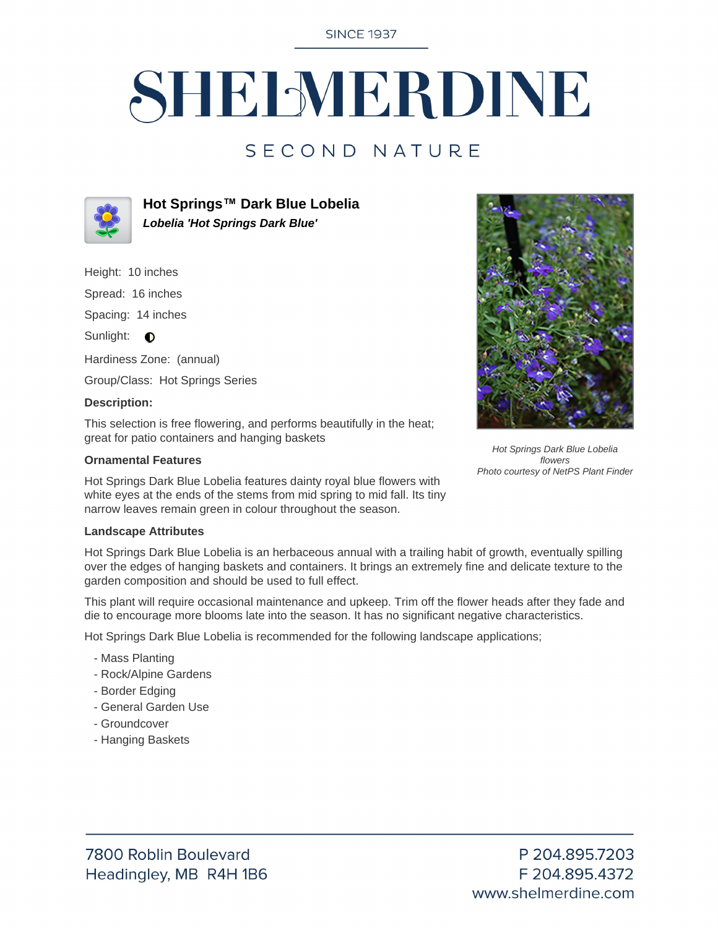**SINCE 1937** 

# SHELMERDINE

### SECOND NATURE



**Hot Springs™ Dark Blue Lobelia Lobelia 'Hot Springs Dark Blue'**

Height: 10 inches

Spread: 16 inches

Spacing: 14 inches

Sunlight: **O** 

Hardiness Zone: (annual)

Group/Class: Hot Springs Series

#### **Description:**

This selection is free flowering, and performs beautifully in the heat; great for patio containers and hanging baskets

#### **Ornamental Features**

Hot Springs Dark Blue Lobelia features dainty royal blue flowers with white eyes at the ends of the stems from mid spring to mid fall. Its tiny narrow leaves remain green in colour throughout the season.

#### **Landscape Attributes**

Hot Springs Dark Blue Lobelia is an herbaceous annual with a trailing habit of growth, eventually spilling over the edges of hanging baskets and containers. It brings an extremely fine and delicate texture to the garden composition and should be used to full effect.

This plant will require occasional maintenance and upkeep. Trim off the flower heads after they fade and die to encourage more blooms late into the season. It has no significant negative characteristics.

Hot Springs Dark Blue Lobelia is recommended for the following landscape applications;

- Mass Planting
- Rock/Alpine Gardens
- Border Edging
- General Garden Use
- Groundcover
- Hanging Baskets



Hot Springs Dark Blue Lobelia flowers Photo courtesy of NetPS Plant Finder